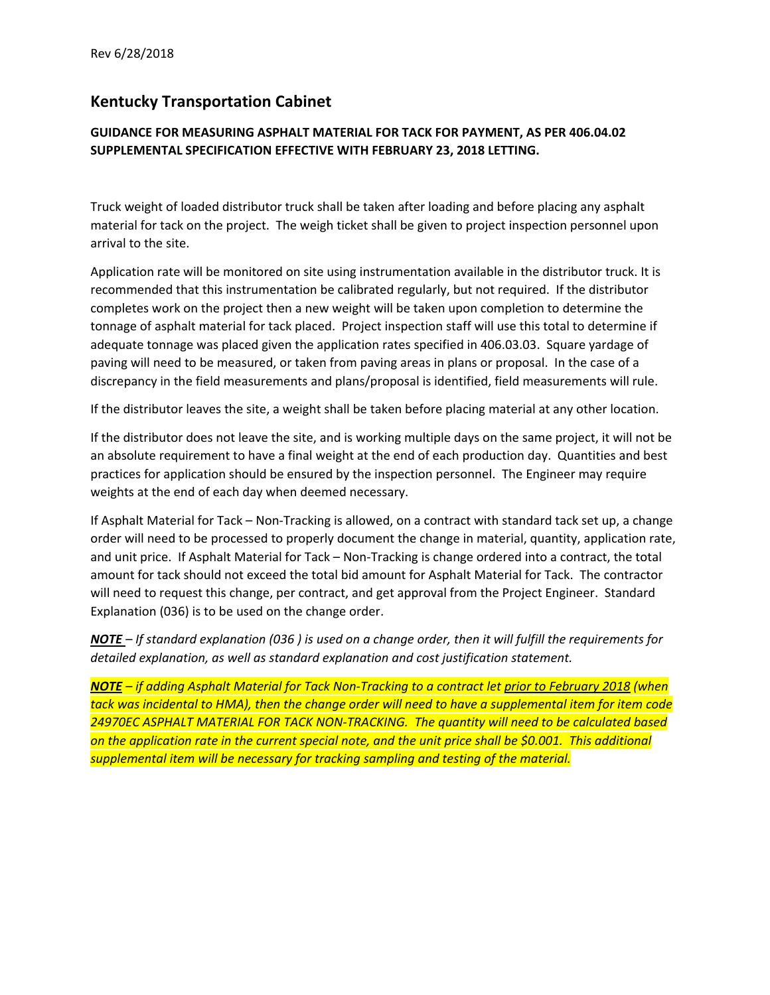## **Kentucky Transportation Cabinet**

## **GUIDANCE FOR MEASURING ASPHALT MATERIAL FOR TACK FOR PAYMENT, AS PER 406.04.02 SUPPLEMENTAL SPECIFICATION EFFECTIVE WITH FEBRUARY 23, 2018 LETTING.**

Truck weight of loaded distributor truck shall be taken after loading and before placing any asphalt material for tack on the project. The weigh ticket shall be given to project inspection personnel upon arrival to the site.

Application rate will be monitored on site using instrumentation available in the distributor truck. It is recommended that this instrumentation be calibrated regularly, but not required. If the distributor completes work on the project then a new weight will be taken upon completion to determine the tonnage of asphalt material for tack placed. Project inspection staff will use this total to determine if adequate tonnage was placed given the application rates specified in 406.03.03. Square yardage of paving will need to be measured, or taken from paving areas in plans or proposal. In the case of a discrepancy in the field measurements and plans/proposal is identified, field measurements will rule.

If the distributor leaves the site, a weight shall be taken before placing material at any other location.

If the distributor does not leave the site, and is working multiple days on the same project, it will not be an absolute requirement to have a final weight at the end of each production day. Quantities and best practices for application should be ensured by the inspection personnel. The Engineer may require weights at the end of each day when deemed necessary.

If Asphalt Material for Tack – Non‐Tracking is allowed, on a contract with standard tack set up, a change order will need to be processed to properly document the change in material, quantity, application rate, and unit price. If Asphalt Material for Tack – Non‐Tracking is change ordered into a contract, the total amount for tack should not exceed the total bid amount for Asphalt Material for Tack. The contractor will need to request this change, per contract, and get approval from the Project Engineer. Standard Explanation (036) is to be used on the change order.

**NOTE** – If standard explanation (036) is used on a change order, then it will fulfill the requirements for *detailed explanation, as well as standard explanation and cost justification statement.*

NOTE – if adding Asphalt Material for Tack Non-Tracking to a contract let prior to February 2018 (when tack was incidental to HMA), then the change order will need to have a supplemental item for item code *24970EC ASPHALT MATERIAL FOR TACK NON‐TRACKING. The quantity will need to be calculated based* on the application rate in the current special note, and the unit price shall be \$0.001. This additional *supplemental item will be necessary for tracking sampling and testing of the material.*